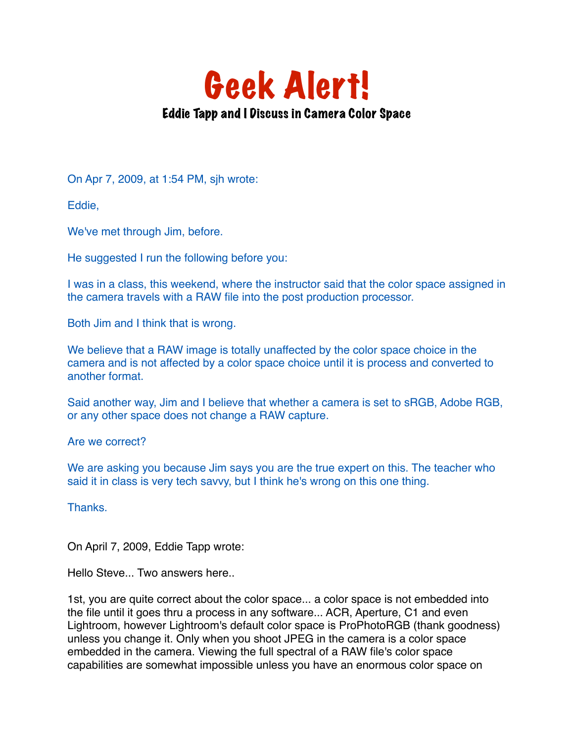

On Apr 7, 2009, at 1:54 PM, sjh wrote:

Eddie,

We've met through Jim, before.

He suggested I run the following before you:

I was in a class, this weekend, where the instructor said that the color space assigned in the camera travels with a RAW file into the post production processor.

Both Jim and I think that is wrong.

We believe that a RAW image is totally unaffected by the color space choice in the camera and is not affected by a color space choice until it is process and converted to another format.

Said another way, Jim and I believe that whether a camera is set to sRGB, Adobe RGB, or any other space does not change a RAW capture.

Are we correct?

We are asking you because Jim says you are the true expert on this. The teacher who said it in class is very tech savvy, but I think he's wrong on this one thing.

Thanks.

On April 7, 2009, Eddie Tapp wrote:

Hello Steve... Two answers here..

1st, you are quite correct about the color space... a color space is not embedded into the file until it goes thru a process in any software... ACR, Aperture, C1 and even Lightroom, however Lightroom's default color space is ProPhotoRGB (thank goodness) unless you change it. Only when you shoot JPEG in the camera is a color space embedded in the camera. Viewing the full spectral of a RAW file's color space capabilities are somewhat impossible unless you have an enormous color space on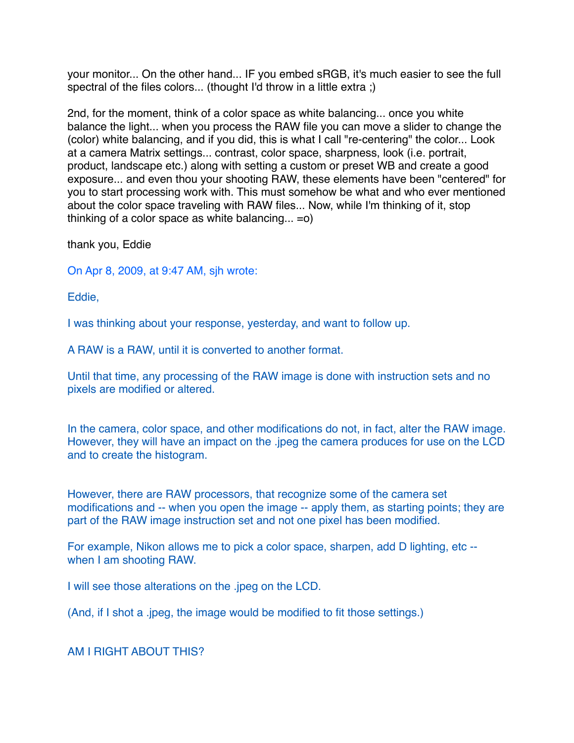your monitor... On the other hand... IF you embed sRGB, it's much easier to see the full spectral of the files colors... (thought I'd throw in a little extra ;)

2nd, for the moment, think of a color space as white balancing... once you white balance the light... when you process the RAW file you can move a slider to change the (color) white balancing, and if you did, this is what I call "re-centering" the color... Look at a camera Matrix settings... contrast, color space, sharpness, look (i.e. portrait, product, landscape etc.) along with setting a custom or preset WB and create a good exposure... and even thou your shooting RAW, these elements have been "centered" for you to start processing work with. This must somehow be what and who ever mentioned about the color space traveling with RAW files... Now, while I'm thinking of it, stop thinking of a color space as white balancing...  $= 0$ )

thank you, Eddie

On Apr 8, 2009, at 9:47 AM, sjh wrote:

Eddie,

I was thinking about your response, yesterday, and want to follow up.

A RAW is a RAW, until it is converted to another format.

Until that time, any processing of the RAW image is done with instruction sets and no pixels are modified or altered.

In the camera, color space, and other modifications do not, in fact, alter the RAW image. However, they will have an impact on the .jpeg the camera produces for use on the LCD and to create the histogram.

However, there are RAW processors, that recognize some of the camera set modifications and -- when you open the image -- apply them, as starting points; they are part of the RAW image instruction set and not one pixel has been modified.

For example, Nikon allows me to pick a color space, sharpen, add D lighting, etc - when I am shooting RAW.

I will see those alterations on the .jpeg on the LCD.

(And, if I shot a .jpeg, the image would be modified to fit those settings.)

AM I RIGHT ABOUT THIS?